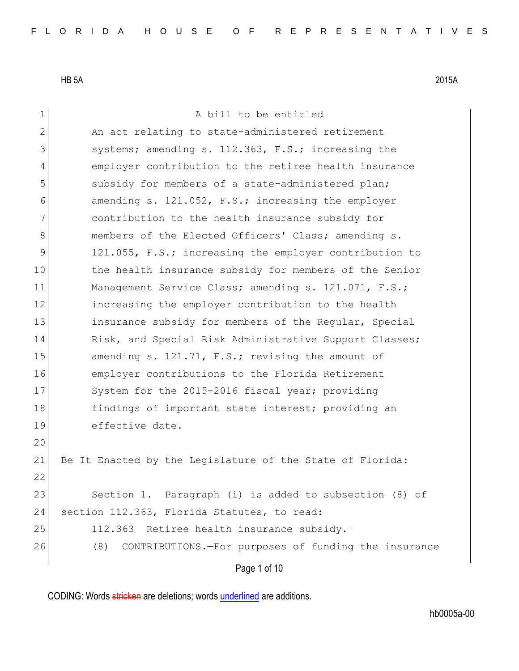Page 1 of 10 1 a bill to be entitled 2 An act relating to state-administered retirement 3 systems; amending s. 112.363, F.S.; increasing the 4 employer contribution to the retiree health insurance 5 subsidy for members of a state-administered plan; 6 amending s. 121.052, F.S.; increasing the employer 7 contribution to the health insurance subsidy for 8 members of the Elected Officers' Class; amending s. 9 121.055, F.S.; increasing the employer contribution to 10 the health insurance subsidy for members of the Senior 11 Management Service Class; amending s. 121.071, F.S.; 12 increasing the employer contribution to the health 13 **insurance subsidy for members of the Regular, Special** 14 Risk, and Special Risk Administrative Support Classes; 15 amending s. 121.71, F.S.; revising the amount of 16 employer contributions to the Florida Retirement 17 System for the 2015-2016 fiscal year; providing 18 findings of important state interest; providing an 19 effective date. 20 21 Be It Enacted by the Legislature of the State of Florida: 22 23 Section 1. Paragraph (i) is added to subsection (8) of 24 section 112.363, Florida Statutes, to read: 25 112.363 Retiree health insurance subsidy. 26 (8) CONTRIBUTIONS.—For purposes of funding the insurance

CODING: Words stricken are deletions; words underlined are additions.

hb0005a-00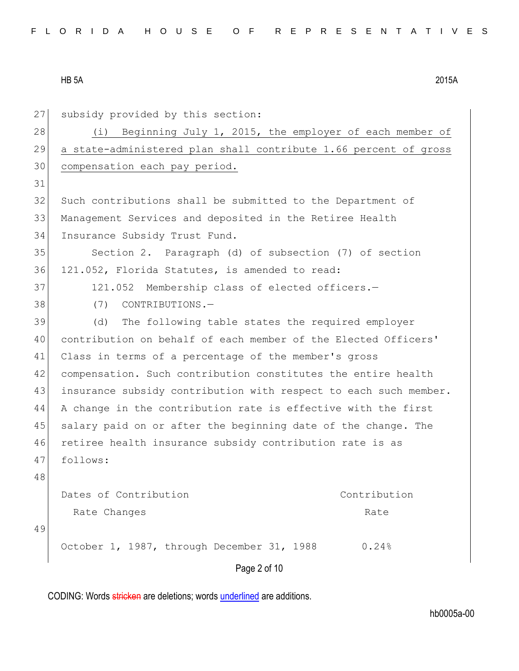| 27 | subsidy provided by this section:                                |
|----|------------------------------------------------------------------|
| 28 | Beginning July 1, 2015, the employer of each member of<br>(i)    |
| 29 | a state-administered plan shall contribute 1.66 percent of gross |
| 30 | compensation each pay period.                                    |
| 31 |                                                                  |
| 32 | Such contributions shall be submitted to the Department of       |
| 33 | Management Services and deposited in the Retiree Health          |
| 34 | Insurance Subsidy Trust Fund.                                    |
| 35 | Section 2. Paragraph (d) of subsection (7) of section            |
| 36 | 121.052, Florida Statutes, is amended to read:                   |
| 37 | 121.052 Membership class of elected officers.-                   |
| 38 | (7)<br>CONTRIBUTIONS.-                                           |
| 39 | (d)<br>The following table states the required employer          |
| 40 | contribution on behalf of each member of the Elected Officers'   |
| 41 | Class in terms of a percentage of the member's gross             |
| 42 | compensation. Such contribution constitutes the entire health    |
| 43 | insurance subsidy contribution with respect to each such member. |
| 44 | A change in the contribution rate is effective with the first    |
| 45 | salary paid on or after the beginning date of the change. The    |
| 46 | retiree health insurance subsidy contribution rate is as         |
| 47 | follows:                                                         |
| 48 |                                                                  |
|    | Dates of Contribution<br>Contribution                            |
|    | Rate Changes<br>Rate                                             |
| 49 |                                                                  |
|    | October 1, 1987, through December 31, 1988<br>0.24%              |
|    | Page 2 of 10                                                     |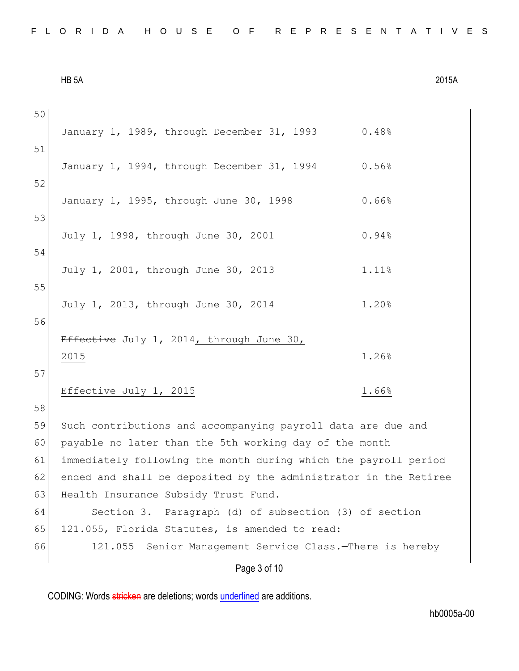| FLORIDA HOUSE OF REPRESENTATIVES |  |  |  |  |  |  |  |  |  |  |  |  |  |  |  |  |  |  |  |  |  |  |  |  |  |  |  |  |  |  |  |
|----------------------------------|--|--|--|--|--|--|--|--|--|--|--|--|--|--|--|--|--|--|--|--|--|--|--|--|--|--|--|--|--|--|--|
|----------------------------------|--|--|--|--|--|--|--|--|--|--|--|--|--|--|--|--|--|--|--|--|--|--|--|--|--|--|--|--|--|--|--|

| HB <sub>5</sub> A | 2015A |
|-------------------|-------|
|-------------------|-------|

| 50 |                                                                  |
|----|------------------------------------------------------------------|
| 51 | January 1, 1989, through December 31, 1993<br>0.48%              |
|    | 0.56%<br>January 1, 1994, through December 31, 1994              |
| 52 |                                                                  |
|    | 0.66%<br>January 1, 1995, through June 30, 1998                  |
| 53 |                                                                  |
|    | 0.94%<br>July 1, 1998, through June 30, 2001                     |
| 54 |                                                                  |
|    | July 1, 2001, through June 30, 2013<br>1.11%                     |
| 55 |                                                                  |
|    | July 1, 2013, through June 30, 2014<br>1.20%                     |
| 56 |                                                                  |
|    | Effective July 1, 2014, through June 30,                         |
|    | 1.26%<br>2015                                                    |
| 57 |                                                                  |
|    | Effective July 1, 2015<br>1.66%                                  |
| 58 |                                                                  |
| 59 | Such contributions and accompanying payroll data are due and     |
| 60 | payable no later than the 5th working day of the month           |
| 61 | immediately following the month during which the payroll period  |
| 62 | ended and shall be deposited by the administrator in the Retiree |
| 63 | Health Insurance Subsidy Trust Fund.                             |
| 64 | Section 3. Paragraph (d) of subsection (3) of section            |
| 65 | 121.055, Florida Statutes, is amended to read:                   |
| 66 | 121.055 Senior Management Service Class. - There is hereby       |
|    | Page 3 of 10                                                     |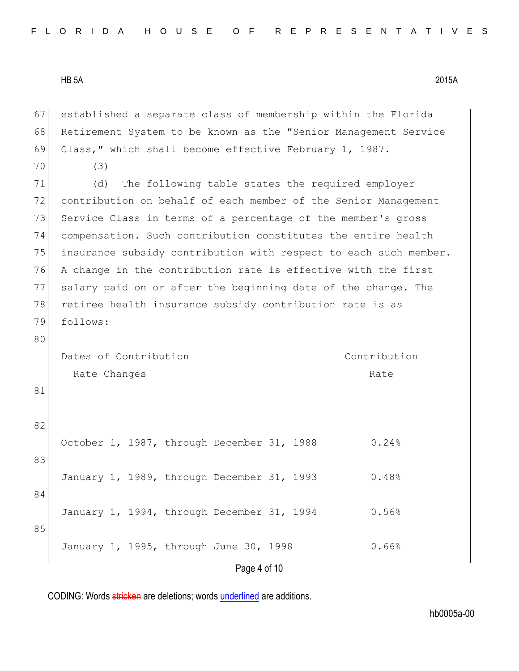Page 4 of 10 67 established a separate class of membership within the Florida 68 Retirement System to be known as the "Senior Management Service 69 Class," which shall become effective February 1, 1987. 70 (3) 71 (d) The following table states the required employer 72 contribution on behalf of each member of the Senior Management 73 Service Class in terms of a percentage of the member's gross 74 compensation. Such contribution constitutes the entire health 75 insurance subsidy contribution with respect to each such member. 76 A change in the contribution rate is effective with the first 77 salary paid on or after the beginning date of the change. The 78 retiree health insurance subsidy contribution rate is as 79 follows: 80 Dates of Contribution Rate Changes Contribution Rate 81 82 October 1, 1987, through December 31, 1988 0.24% 83 January 1, 1989, through December 31, 1993 0.48% 84 January 1, 1994, through December 31, 1994 0.56% 85 January 1, 1995, through June 30, 1998 0.66%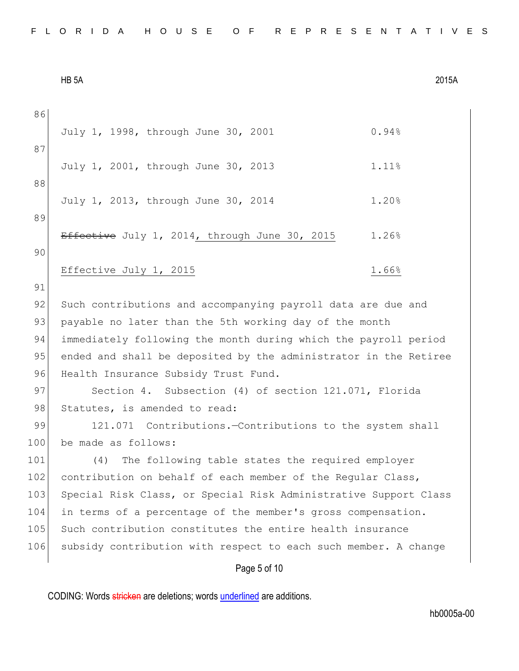| 86  |                                                                  |  |  |  |  |  |  |  |  |  |
|-----|------------------------------------------------------------------|--|--|--|--|--|--|--|--|--|
| 87  | 0.94%<br>July 1, 1998, through June 30, 2001                     |  |  |  |  |  |  |  |  |  |
|     | July 1, 2001, through June 30, 2013<br>1.11%                     |  |  |  |  |  |  |  |  |  |
| 88  |                                                                  |  |  |  |  |  |  |  |  |  |
| 89  | July 1, 2013, through June 30, 2014<br>1.20%                     |  |  |  |  |  |  |  |  |  |
|     |                                                                  |  |  |  |  |  |  |  |  |  |
|     | Effective July 1, 2014, through June 30, 2015<br>1.26%           |  |  |  |  |  |  |  |  |  |
| 90  |                                                                  |  |  |  |  |  |  |  |  |  |
|     | Effective July 1, 2015<br>1.66%                                  |  |  |  |  |  |  |  |  |  |
| 91  |                                                                  |  |  |  |  |  |  |  |  |  |
| 92  | Such contributions and accompanying payroll data are due and     |  |  |  |  |  |  |  |  |  |
| 93  | payable no later than the 5th working day of the month           |  |  |  |  |  |  |  |  |  |
| 94  | immediately following the month during which the payroll period  |  |  |  |  |  |  |  |  |  |
| 95  | ended and shall be deposited by the administrator in the Retiree |  |  |  |  |  |  |  |  |  |
| 96  | Health Insurance Subsidy Trust Fund.                             |  |  |  |  |  |  |  |  |  |
| 97  | Section 4. Subsection (4) of section 121.071, Florida            |  |  |  |  |  |  |  |  |  |
| 98  | Statutes, is amended to read:                                    |  |  |  |  |  |  |  |  |  |
| 99  | 121.071 Contributions.-Contributions to the system shall         |  |  |  |  |  |  |  |  |  |
| 100 | be made as follows:                                              |  |  |  |  |  |  |  |  |  |
| 101 | The following table states the required employer<br>(4)          |  |  |  |  |  |  |  |  |  |
| 102 | contribution on behalf of each member of the Regular Class,      |  |  |  |  |  |  |  |  |  |
| 103 | Special Risk Class, or Special Risk Administrative Support Class |  |  |  |  |  |  |  |  |  |
| 104 | in terms of a percentage of the member's gross compensation.     |  |  |  |  |  |  |  |  |  |
| 105 | Such contribution constitutes the entire health insurance        |  |  |  |  |  |  |  |  |  |
| 106 | subsidy contribution with respect to each such member. A change  |  |  |  |  |  |  |  |  |  |
|     | Page 5 of 10                                                     |  |  |  |  |  |  |  |  |  |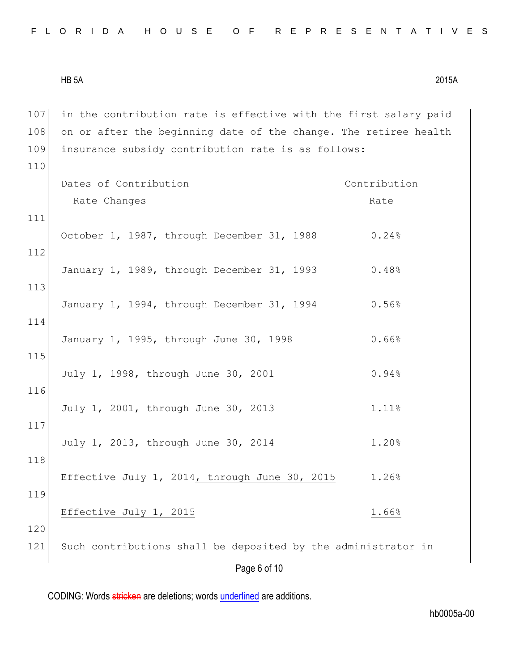|  |  |  |  |  |  |  |  |  |  |  |  |  | FLORIDA HOUSE OF REPRESENTATIVES |  |  |  |  |  |  |  |  |  |  |  |  |  |  |  |  |  |  |  |  |  |
|--|--|--|--|--|--|--|--|--|--|--|--|--|----------------------------------|--|--|--|--|--|--|--|--|--|--|--|--|--|--|--|--|--|--|--|--|--|
|--|--|--|--|--|--|--|--|--|--|--|--|--|----------------------------------|--|--|--|--|--|--|--|--|--|--|--|--|--|--|--|--|--|--|--|--|--|

107 in the contribution rate is effective with the first salary paid  $108$  on or after the beginning date of the change. The retiree health 109 insurance subsidy contribution rate is as follows: 110

|     | Dates of Contribution                                         | Contribution |  |  |  |  |  |  |
|-----|---------------------------------------------------------------|--------------|--|--|--|--|--|--|
|     | Rate Changes                                                  | Rate         |  |  |  |  |  |  |
| 111 |                                                               |              |  |  |  |  |  |  |
| 112 | October 1, 1987, through December 31, 1988                    | 0.24%        |  |  |  |  |  |  |
|     | January 1, 1989, through December 31, 1993                    | 0.48%        |  |  |  |  |  |  |
| 113 | January 1, 1994, through December 31, 1994                    | 0.56%        |  |  |  |  |  |  |
| 114 | January 1, 1995, through June 30, 1998                        | 0.66%        |  |  |  |  |  |  |
| 115 | July 1, 1998, through June 30, 2001                           | 0.94%        |  |  |  |  |  |  |
| 116 |                                                               |              |  |  |  |  |  |  |
| 117 | July 1, 2001, through June 30, 2013                           | 1.11%        |  |  |  |  |  |  |
| 118 | July 1, 2013, through June 30, 2014                           | 1.20%        |  |  |  |  |  |  |
|     | Effective July 1, 2014, through June 30, 2015                 | 1.26%        |  |  |  |  |  |  |
| 119 | Effective July 1, 2015                                        | 1.66%        |  |  |  |  |  |  |
| 120 |                                                               |              |  |  |  |  |  |  |
| 121 | Such contributions shall be deposited by the administrator in |              |  |  |  |  |  |  |
|     | Page 6 of 10                                                  |              |  |  |  |  |  |  |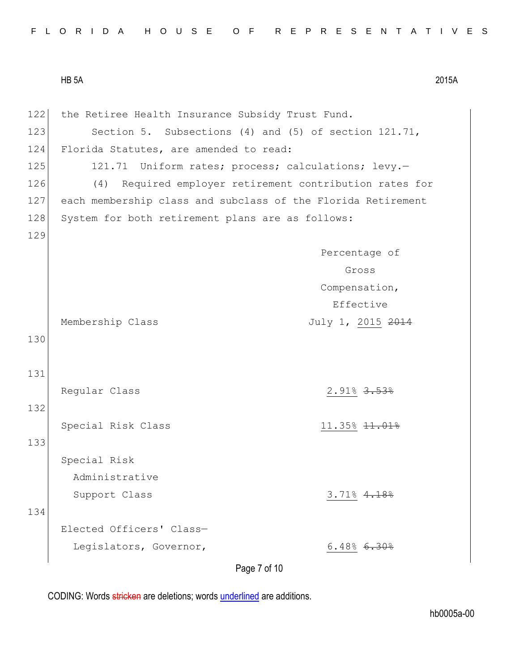122 the Retiree Health Insurance Subsidy Trust Fund. 123 Section 5. Subsections (4) and (5) of section 121.71, 124 Florida Statutes, are amended to read: 125 121.71 Uniform rates; process; calculations; levy.-126 (4) Required employer retirement contribution rates for 127 each membership class and subclass of the Florida Retirement 128 System for both retirement plans are as follows: 129 Membership Class Percentage of Gross Compensation, Effective July 1, 2015 2014 130 131 Regular Class 2.91% 3.53% 132 Special Risk Class 11.35% 11.35% 133 Special Risk Administrative Support Class 3.71% 4.18% 134 Elected Officers' Class— Legislators, Governor,  $6.48\textdegree$  6.48% 6.30%

Page 7 of 10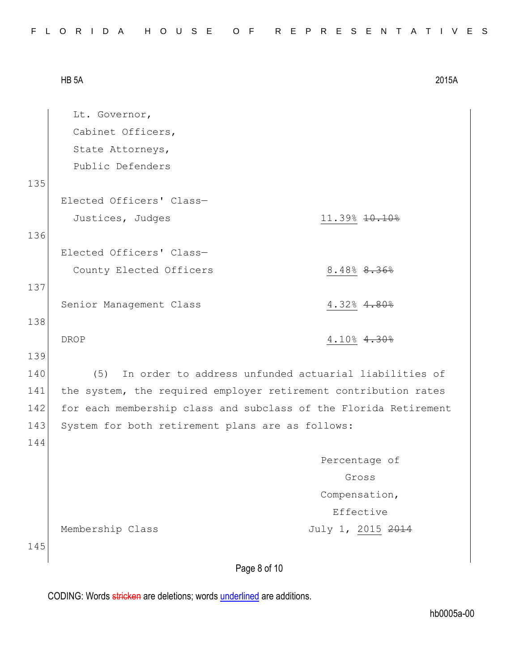|--|

|     | Lt. Governor,                                                    |                                                       |
|-----|------------------------------------------------------------------|-------------------------------------------------------|
|     | Cabinet Officers,                                                |                                                       |
|     | State Attorneys,                                                 |                                                       |
|     | Public Defenders                                                 |                                                       |
| 135 |                                                                  |                                                       |
|     | Elected Officers' Class-                                         |                                                       |
|     | Justices, Judges                                                 | 11.39% $10.10%$                                       |
| 136 |                                                                  |                                                       |
|     | Elected Officers' Class-                                         |                                                       |
|     | County Elected Officers                                          | 8.48% <del>8.36%</del>                                |
| 137 |                                                                  |                                                       |
|     | Senior Management Class                                          | $4.32% \, 4.80%$                                      |
| 138 |                                                                  |                                                       |
|     | <b>DROP</b>                                                      | $4.10\%$ $4.30\%$                                     |
| 139 |                                                                  |                                                       |
| 140 | (5)                                                              | In order to address unfunded actuarial liabilities of |
| 141 | the system, the required employer retirement contribution rates  |                                                       |
| 142 | for each membership class and subclass of the Florida Retirement |                                                       |
| 143 | System for both retirement plans are as follows:                 |                                                       |
| 144 |                                                                  |                                                       |
|     |                                                                  | Percentage of                                         |
|     |                                                                  | Gross                                                 |
|     |                                                                  | Compensation,                                         |
|     |                                                                  | Effective                                             |
|     | Membership Class                                                 | July 1, 2015 2014                                     |
| 145 |                                                                  |                                                       |
|     | Page 8 of 10                                                     |                                                       |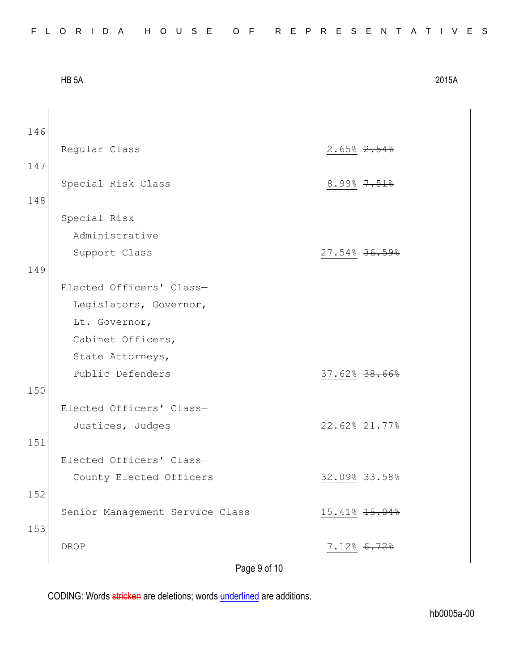|     | HB <sub>5</sub> A               |                         | 2015A |  |  |  |  |  |  |  |
|-----|---------------------------------|-------------------------|-------|--|--|--|--|--|--|--|
|     |                                 |                         |       |  |  |  |  |  |  |  |
| 146 |                                 |                         |       |  |  |  |  |  |  |  |
|     | Regular Class                   | $2.65% \, 2.54%$        |       |  |  |  |  |  |  |  |
| 147 |                                 |                         |       |  |  |  |  |  |  |  |
|     | Special Risk Class              | $8.99\%$ $7.51\%$       |       |  |  |  |  |  |  |  |
| 148 |                                 |                         |       |  |  |  |  |  |  |  |
|     | Special Risk                    |                         |       |  |  |  |  |  |  |  |
|     | Administrative                  |                         |       |  |  |  |  |  |  |  |
|     | Support Class                   | 27.54% 36               |       |  |  |  |  |  |  |  |
| 149 |                                 |                         |       |  |  |  |  |  |  |  |
|     | Elected Officers' Class-        |                         |       |  |  |  |  |  |  |  |
|     | Legislators, Governor,          |                         |       |  |  |  |  |  |  |  |
|     | Lt. Governor,                   |                         |       |  |  |  |  |  |  |  |
|     | Cabinet Officers,               |                         |       |  |  |  |  |  |  |  |
|     | State Attorneys,                |                         |       |  |  |  |  |  |  |  |
|     | Public Defenders                | 37.62% 38.66%           |       |  |  |  |  |  |  |  |
| 150 |                                 |                         |       |  |  |  |  |  |  |  |
|     | Elected Officers' Class-        |                         |       |  |  |  |  |  |  |  |
|     | Justices, Judges                | 22.62%21<br><u> 778</u> |       |  |  |  |  |  |  |  |
| 151 |                                 |                         |       |  |  |  |  |  |  |  |
|     | Elected Officers' Class-        |                         |       |  |  |  |  |  |  |  |
|     | County Elected Officers         | 32.09% 33.58%           |       |  |  |  |  |  |  |  |
| 152 |                                 |                         |       |  |  |  |  |  |  |  |
|     | Senior Management Service Class | 15.41% $15.04%$         |       |  |  |  |  |  |  |  |
| 153 |                                 |                         |       |  |  |  |  |  |  |  |
|     | <b>DROP</b>                     | 7.12% 6.72%             |       |  |  |  |  |  |  |  |
|     | Page 9 of 10                    |                         |       |  |  |  |  |  |  |  |